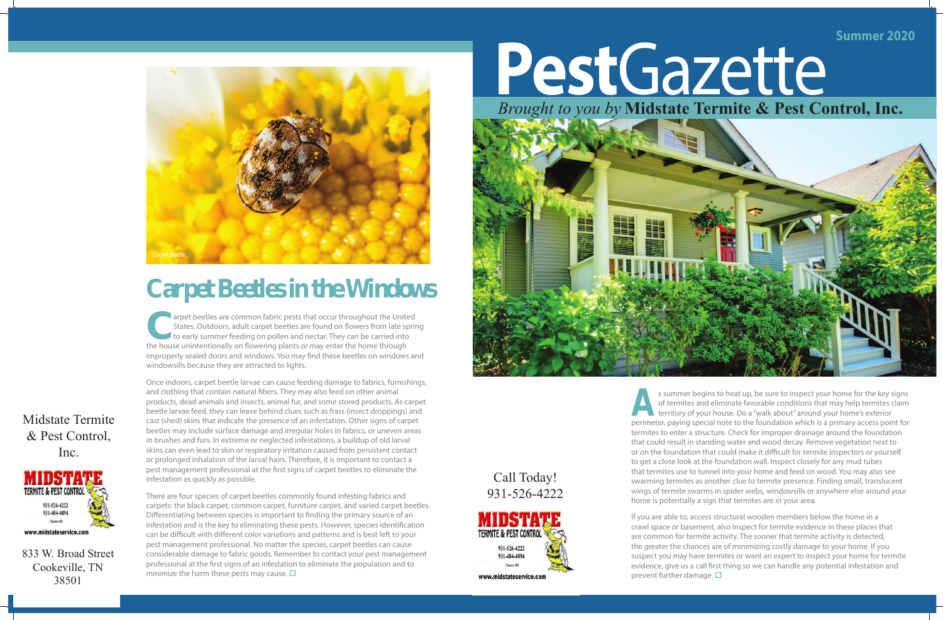If you are able to, access structural wooden members below the home in a crawl space or basement, also inspect for termite evidence in these places that are common for termite activity. The sooner that termite activity is detected, the greater the chances are of minimizing costly damage to your home. If you suspect you may have termites or want an expert to inspect your home for termite evidence, give us a call first thing so we can handle any potential infestation and prevent further damage.  $\square$ 

**A**s summer begins to heat up, be sure to inspect your home for the key signs of termites and eliminate favorable conditions that may help termites claim territory of your house. Do a "walk about" around your home's exterior perimeter, paying special note to the foundation which is a primary access point for termites to enter a structure. Check for improper drainage around the foundation that could result in standing water and wood decay. Remove vegetation next to or on the foundation that could make it difficult for termite inspectors or yourself to get a close look at the foundation wall. Inspect closely for any mud tubes that termites use to tunnel into your home and feed on wood. You may also see swarming termites as another clue to termite presence. Finding small, translucent wings of termite swarms in spider webs, windowsills or anywhere else around your home is potentially a sign that termites are in your area.

Midstate Termite & Pest Control, Inc.



833 W. Broad Street Cookeville, TN 38501

## **Summer 2020** *Brought to you by* **Midstate Termite & Pest Control, Inc.**

**Carpet beetles are common fabric pests that occur throughout the United States. Outdoors, adult carpet beetles are found on flowers from late sprint to early summer feeding on pollen and nectar. They can be carried into t** States. Outdoors, adult carpet beetles are found on flowers from late spring to early summer feeding on pollen and nectar. They can be carried into the house unintentionally on flowering plants or may enter the home through improperly sealed doors and windows. You may find these beetles on windows and windowsills because they are attracted to lights.

There are four species of carpet beetles commonly found infesting fabrics and carpets: the black carpet, common carpet, furniture carpet, and varied carpet beetles. Differentiating between species is important to finding the primary source of an infestation and is the key to eliminating these pests. However, species identification can be difficult with different color variations and patterns and is best left to your pest management professional. No matter the species, carpet beetles can cause considerable damage to fabric goods. Remember to contact your pest management professional at the first signs of an infestation to eliminate the population and to minimize the harm these pests may cause.  $\square$ 

## Call Today! 9 31 - 52 6 - 4222



**Pest**Gazette



## **Carpet Beetles in the Windows**

Once indoors, carpet beetle larvae can cause feeding damage to fabrics, furnishings, and clothing that contain natural fibers. They may also feed on other animal products, dead animals and insects, animal fur, and some stored products. As carpet beetle larvae feed, they can leave behind clues such as frass (insect droppings) and cast (shed) skins that indicate the presence of an infestation. Other signs of carpet beetles may include surface damage and irregular holes in fabrics, or uneven areas in brushes and furs. In extreme or neglected infestations, a buildup of old larval skins can even lead to skin or respiratory irritation caused from persistent contact or prolonged inhalation of the larval hairs. Therefore, it is important to contact a pest management professional at the first signs of carpet beetles to eliminate the infestation as quickly as possible.